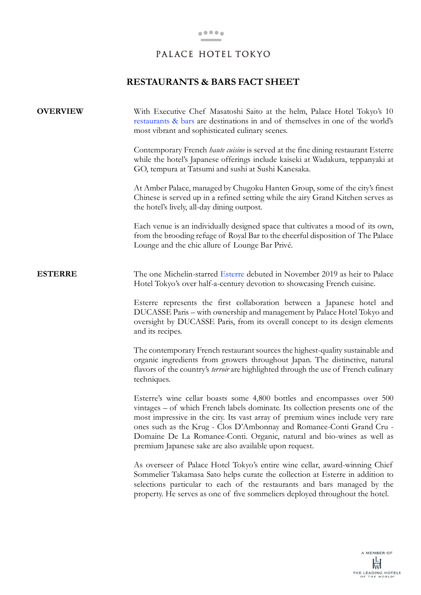## **RESTAURANTS & BARS FACT SHEET**

| <b>OVERVIEW</b> | With Executive Chef Masatoshi Saito at the helm, Palace Hotel Tokyo's 10<br>restaurants & bars are destinations in and of themselves in one of the world's<br>most vibrant and sophisticated culinary scenes.                                                                                                                                                                                                                                             |
|-----------------|-----------------------------------------------------------------------------------------------------------------------------------------------------------------------------------------------------------------------------------------------------------------------------------------------------------------------------------------------------------------------------------------------------------------------------------------------------------|
|                 | Contemporary French <i>haute cuisine</i> is served at the fine dining restaurant Esterre<br>while the hotel's Japanese offerings include kaiseki at Wadakura, teppanyaki at<br>GO, tempura at Tatsumi and sushi at Sushi Kanesaka.                                                                                                                                                                                                                        |
|                 | At Amber Palace, managed by Chugoku Hanten Group, some of the city's finest<br>Chinese is served up in a refined setting while the airy Grand Kitchen serves as<br>the hotel's lively, all-day dining outpost.                                                                                                                                                                                                                                            |
|                 | Each venue is an individually designed space that cultivates a mood of its own,<br>from the brooding refuge of Royal Bar to the cheerful disposition of The Palace<br>Lounge and the chic allure of Lounge Bar Privé.                                                                                                                                                                                                                                     |
| <b>ESTERRE</b>  | The one Michelin-starred Esterre debuted in November 2019 as heir to Palace<br>Hotel Tokyo's over half-a-century devotion to showcasing French cuisine.                                                                                                                                                                                                                                                                                                   |
|                 | Esterre represents the first collaboration between a Japanese hotel and<br>DUCASSE Paris - with ownership and management by Palace Hotel Tokyo and<br>oversight by DUCASSE Paris, from its overall concept to its design elements<br>and its recipes.                                                                                                                                                                                                     |
|                 | The contemporary French restaurant sources the highest-quality sustainable and<br>organic ingredients from growers throughout Japan. The distinctive, natural<br>flavors of the country's <i>terroir</i> are highlighted through the use of French culinary<br>techniques.                                                                                                                                                                                |
|                 | Esterre's wine cellar boasts some 4,800 bottles and encompasses over 500<br>vintages – of which French labels dominate. Its collection presents one of the<br>most impressive in the city. Its vast array of premium wines include very rare<br>ones such as the Krug - Clos D'Ambonnay and Romanee-Conti Grand Cru -<br>Domaine De La Romanee-Conti. Organic, natural and bio-wines as well as<br>premium Japanese sake are also available upon request. |
|                 | As overseer of Palace Hotel Tokyo's entire wine cellar, award-winning Chief<br>Sommelier Takamasa Sato helps curate the collection at Esterre in addition to<br>selections particular to each of the restaurants and bars managed by the<br>property. He serves as one of five sommeliers deployed throughout the hotel.                                                                                                                                  |
|                 |                                                                                                                                                                                                                                                                                                                                                                                                                                                           |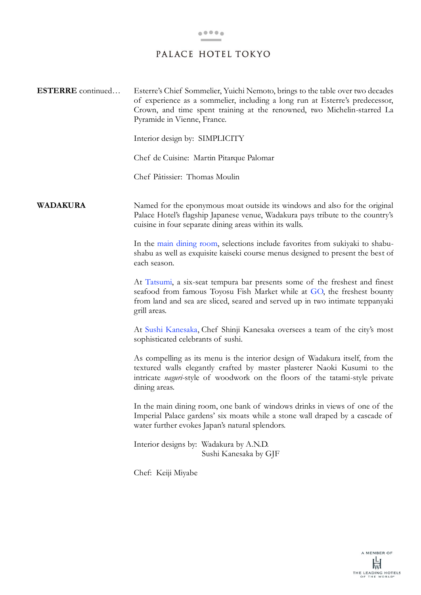**ESTERRE** continued… Esterre's Chief Sommelier, Yuichi Nemoto, brings to the table over two decades of experience as a sommelier, including a long run at Esterre's predecessor, Crown, and time spent training at the renowned, two Michelin-starred La Pyramide in Vienne, France.

Interior design by: SIMPLICITY

Chef de Cuisine: Martin Pitarque Palomar

Chef Pâtissier: Thomas Moulin

**WADAKURA** Named for the eponymous moat outside its windows and also for the original Palace Hotel's flagship Japanese venue, Wadakura pays tribute to the country's cuisine in four separate dining areas within its walls.

> In the [main dining room,](http://en.palacehoteltokyo.com/restaurant/wadakura/) selections include favorites from sukiyaki to shabushabu as well as exquisite kaiseki course menus designed to present the best of each season.

> At [Tatsumi,](http://en.palacehoteltokyo.com/restaurant/tatsumi/) a six-seat tempura bar presents some of the freshest and finest seafood from famous Toyosu Fish Market while at [GO,](http://en.palacehoteltokyo.com/restaurant/go/) the freshest bounty from land and sea are sliced, seared and served up in two intimate teppanyaki grill areas.

> At [Sushi Kanesaka,](http://en.palacehoteltokyo.com/restaurant/sushi-kanesaka/) Chef Shinji Kanesaka oversees a team of the city's most sophisticated celebrants of sushi.

> As compelling as its menu is the interior design of Wadakura itself, from the textured walls elegantly crafted by master plasterer Naoki Kusumi to the intricate *naguri*-style of woodwork on the floors of the tatami-style private dining areas.

> In the main dining room, one bank of windows drinks in views of one of the Imperial Palace gardens' six moats while a stone wall draped by a cascade of water further evokes Japan's natural splendors.

Interior designs by: Wadakura by A.N.D. Sushi Kanesaka by GJF

Chef: Keiji Miyabe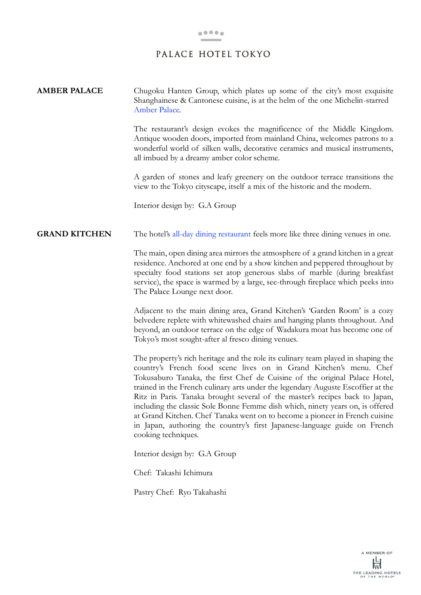| <b>AMBER PALACE</b>  | Chugoku Hanten Group, which plates up some of the city's most exquisite<br>Shanghainese & Cantonese cuisine, is at the helm of the one Michelin-starred<br>Amber Palace.                                                                                                                                                                                                                                                                                                                                                                                                                                                                                                       |
|----------------------|--------------------------------------------------------------------------------------------------------------------------------------------------------------------------------------------------------------------------------------------------------------------------------------------------------------------------------------------------------------------------------------------------------------------------------------------------------------------------------------------------------------------------------------------------------------------------------------------------------------------------------------------------------------------------------|
|                      | The restaurant's design evokes the magnificence of the Middle Kingdom.<br>Antique wooden doors, imported from mainland China, welcomes patrons to a<br>wonderful world of silken walls, decorative ceramics and musical instruments,<br>all imbued by a dreamy amber color scheme.                                                                                                                                                                                                                                                                                                                                                                                             |
|                      | A garden of stones and leafy greenery on the outdoor terrace transitions the<br>view to the Tokyo cityscape, itself a mix of the historic and the modern.                                                                                                                                                                                                                                                                                                                                                                                                                                                                                                                      |
|                      | Interior design by: G.A Group                                                                                                                                                                                                                                                                                                                                                                                                                                                                                                                                                                                                                                                  |
| <b>GRAND KITCHEN</b> | The hotel's all-day dining restaurant feels more like three dining venues in one.                                                                                                                                                                                                                                                                                                                                                                                                                                                                                                                                                                                              |
|                      | The main, open dining area mirrors the atmosphere of a grand kitchen in a great<br>residence. Anchored at one end by a show kitchen and peppered throughout by<br>specialty food stations set atop generous slabs of marble (during breakfast<br>service), the space is warmed by a large, see-through fireplace which peeks into<br>The Palace Lounge next door.                                                                                                                                                                                                                                                                                                              |
|                      | Adjacent to the main dining area, Grand Kitchen's 'Garden Room' is a cozy<br>belvedere replete with whitewashed chairs and hanging plants throughout. And<br>beyond, an outdoor terrace on the edge of Wadakura moat has become one of<br>Tokyo's most sought-after al fresco dining venues.                                                                                                                                                                                                                                                                                                                                                                                   |
|                      | The property's rich heritage and the role its culinary team played in shaping the<br>country's French food scene lives on in Grand Kitchen's menu. Chef<br>Tokusaburo Tanaka, the first Chef de Cuisine of the original Palace Hotel,<br>trained in the French culinary arts under the legendary Auguste Escoffier at the<br>Ritz in Paris. Tanaka brought several of the master's recipes back to Japan,<br>including the classic Sole Bonne Femme dish which, ninety years on, is offered<br>at Grand Kitchen. Chef Tanaka went on to become a pioneer in French cuisine<br>in Japan, authoring the country's first Japanese-language guide on French<br>cooking techniques. |
|                      | Interior design by: G.A Group                                                                                                                                                                                                                                                                                                                                                                                                                                                                                                                                                                                                                                                  |
|                      | Chef: Takashi Ichimura                                                                                                                                                                                                                                                                                                                                                                                                                                                                                                                                                                                                                                                         |
|                      | Pastry Chef: Ryo Takahashi                                                                                                                                                                                                                                                                                                                                                                                                                                                                                                                                                                                                                                                     |
|                      |                                                                                                                                                                                                                                                                                                                                                                                                                                                                                                                                                                                                                                                                                |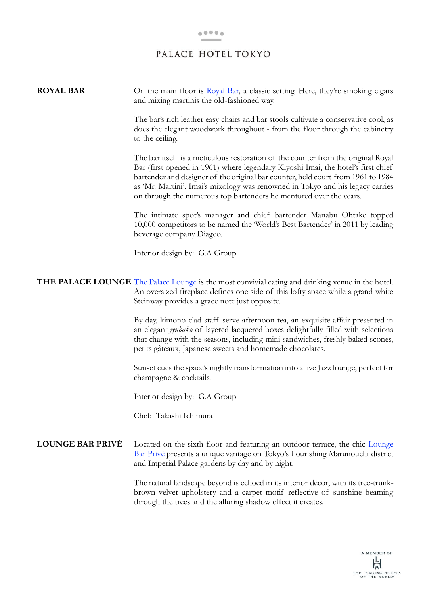**ROYAL BAR** On the main floor is [Royal Bar](http://en.palacehoteltokyo.com/restaurant/royal-bar/), a classic setting. Here, they're smoking cigars and mixing martinis the old-fashioned way.

> The bar's rich leather easy chairs and bar stools cultivate a conservative cool, as does the elegant woodwork throughout - from the floor through the cabinetry to the ceiling.

> The bar itself is a meticulous restoration of the counter from the original Royal Bar (first opened in 1961) where legendary Kiyoshi Imai, the hotel's first chief bartender and designer of the original bar counter, held court from 1961 to 1984 as 'Mr. Martini'. Imai's mixology was renowned in Tokyo and his legacy carries on through the numerous top bartenders he mentored over the years.

> The intimate spot's manager and chief bartender Manabu Ohtake topped 10,000 competitors to be named the 'World's Best Bartender' in 2011 by leading beverage company Diageo.

Interior design by: G.A Group

## THE PALACE LOUNGE [The Palace Lounge](http://en.palacehoteltokyo.com/restaurant/palace-lounge/) is the most convivial eating and drinking venue in the hotel. An oversized fireplace defines one side of this lofty space while a grand white Steinway provides a grace note just opposite.

By day, kimono-clad staff serve afternoon tea, an exquisite affair presented in an elegant *jyubako* of layered lacquered boxes delightfully filled with selections that change with the seasons, including mini sandwiches, freshly baked scones, petits gâteaux, Japanese sweets and homemade chocolates.

Sunset cues the space's nightly transformation into a live Jazz lounge, perfect for champagne & cocktails.

Interior design by: G.A Group

Chef: Takashi Ichimura

#### **LOUNGE BAR PRIVÉ** Located on the sixth floor and featuring an outdoor terrace, the chic [Lounge](http://en.palacehoteltokyo.com/restaurant/lounge-bar-prive/)  [Bar Privé](http://en.palacehoteltokyo.com/restaurant/lounge-bar-prive/) presents a unique vantage on Tokyo's flourishing Marunouchi district and Imperial Palace gardens by day and by night.

The natural landscape beyond is echoed in its interior décor, with its tree-trunkbrown velvet upholstery and a carpet motif reflective of sunshine beaming through the trees and the alluring shadow effect it creates.